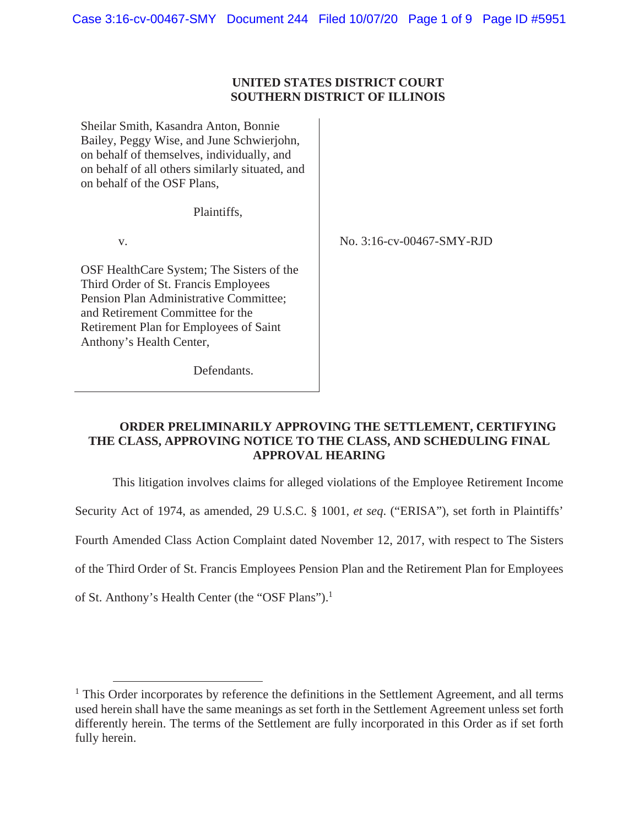## **UNITED STATES DISTRICT COURT SOUTHERN DISTRICT OF ILLINOIS**

Sheilar Smith, Kasandra Anton, Bonnie Bailey, Peggy Wise, and June Schwierjohn, on behalf of themselves, individually, and on behalf of all others similarly situated, and on behalf of the OSF Plans,

Plaintiffs,

v.

No. 3:16-cv-00467-SMY-RJD

OSF HealthCare System; The Sisters of the Third Order of St. Francis Employees Pension Plan Administrative Committee; and Retirement Committee for the Retirement Plan for Employees of Saint Anthony's Health Center,

Defendants.

## **ORDER PRELIMINARILY APPROVING THE SETTLEMENT, CERTIFYING THE CLASS, APPROVING NOTICE TO THE CLASS, AND SCHEDULING FINAL APPROVAL HEARING**

This litigation involves claims for alleged violations of the Employee Retirement Income

Security Act of 1974, as amended, 29 U.S.C. § 1001, *et seq*. ("ERISA"), set forth in Plaintiffs'

Fourth Amended Class Action Complaint dated November 12, 2017, with respect to The Sisters

of the Third Order of St. Francis Employees Pension Plan and the Retirement Plan for Employees

of St. Anthony's Health Center (the "OSF Plans").<sup>1</sup>

<sup>&</sup>lt;sup>1</sup> This Order incorporates by reference the definitions in the Settlement Agreement, and all terms used herein shall have the same meanings as set forth in the Settlement Agreement unless set forth differently herein. The terms of the Settlement are fully incorporated in this Order as if set forth fully herein.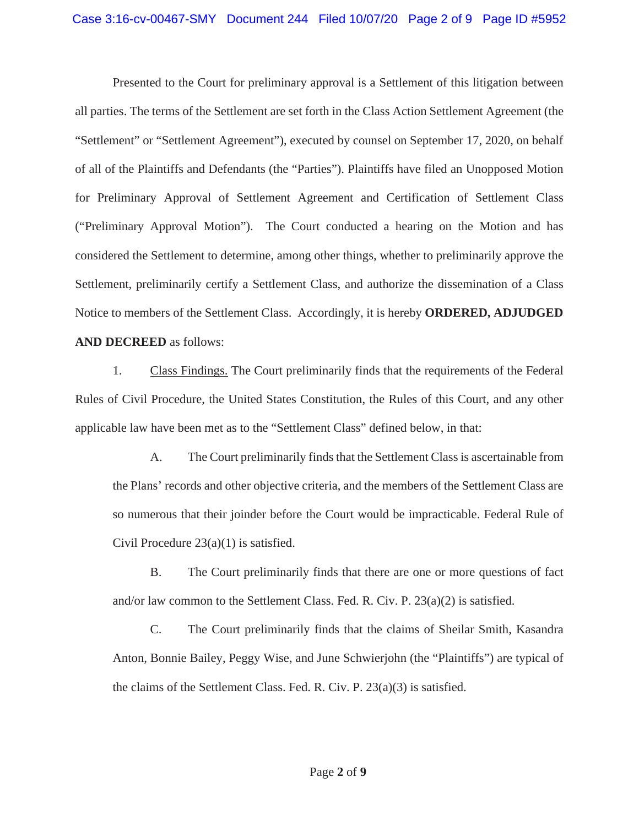Presented to the Court for preliminary approval is a Settlement of this litigation between all parties. The terms of the Settlement are set forth in the Class Action Settlement Agreement (the "Settlement" or "Settlement Agreement"), executed by counsel on September 17, 2020, on behalf of all of the Plaintiffs and Defendants (the "Parties"). Plaintiffs have filed an Unopposed Motion for Preliminary Approval of Settlement Agreement and Certification of Settlement Class ("Preliminary Approval Motion"). The Court conducted a hearing on the Motion and has considered the Settlement to determine, among other things, whether to preliminarily approve the Settlement, preliminarily certify a Settlement Class, and authorize the dissemination of a Class Notice to members of the Settlement Class. Accordingly, it is hereby **ORDERED, ADJUDGED AND DECREED** as follows:

1. Class Findings. The Court preliminarily finds that the requirements of the Federal Rules of Civil Procedure, the United States Constitution, the Rules of this Court, and any other applicable law have been met as to the "Settlement Class" defined below, in that:

A. The Court preliminarily finds that the Settlement Class is ascertainable from the Plans' records and other objective criteria, and the members of the Settlement Class are so numerous that their joinder before the Court would be impracticable. Federal Rule of Civil Procedure  $23(a)(1)$  is satisfied.

B. The Court preliminarily finds that there are one or more questions of fact and/or law common to the Settlement Class. Fed. R. Civ. P.  $23(a)(2)$  is satisfied.

C. The Court preliminarily finds that the claims of Sheilar Smith, Kasandra Anton, Bonnie Bailey, Peggy Wise, and June Schwierjohn (the "Plaintiffs") are typical of the claims of the Settlement Class. Fed. R. Civ. P. 23(a)(3) is satisfied.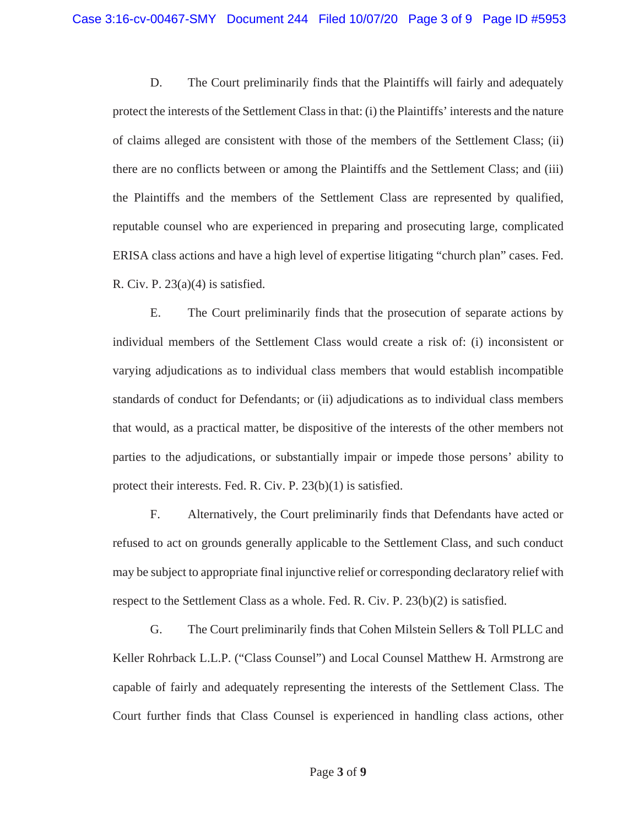D. The Court preliminarily finds that the Plaintiffs will fairly and adequately protect the interests of the Settlement Class in that: (i) the Plaintiffs' interests and the nature of claims alleged are consistent with those of the members of the Settlement Class; (ii) there are no conflicts between or among the Plaintiffs and the Settlement Class; and (iii) the Plaintiffs and the members of the Settlement Class are represented by qualified, reputable counsel who are experienced in preparing and prosecuting large, complicated ERISA class actions and have a high level of expertise litigating "church plan" cases. Fed. R. Civ. P.  $23(a)(4)$  is satisfied.

E. The Court preliminarily finds that the prosecution of separate actions by individual members of the Settlement Class would create a risk of: (i) inconsistent or varying adjudications as to individual class members that would establish incompatible standards of conduct for Defendants; or (ii) adjudications as to individual class members that would, as a practical matter, be dispositive of the interests of the other members not parties to the adjudications, or substantially impair or impede those persons' ability to protect their interests. Fed. R. Civ. P. 23(b)(1) is satisfied.

F. Alternatively, the Court preliminarily finds that Defendants have acted or refused to act on grounds generally applicable to the Settlement Class, and such conduct may be subject to appropriate final injunctive relief or corresponding declaratory relief with respect to the Settlement Class as a whole. Fed. R. Civ. P. 23(b)(2) is satisfied.

G. The Court preliminarily finds that Cohen Milstein Sellers & Toll PLLC and Keller Rohrback L.L.P. ("Class Counsel") and Local Counsel Matthew H. Armstrong are capable of fairly and adequately representing the interests of the Settlement Class. The Court further finds that Class Counsel is experienced in handling class actions, other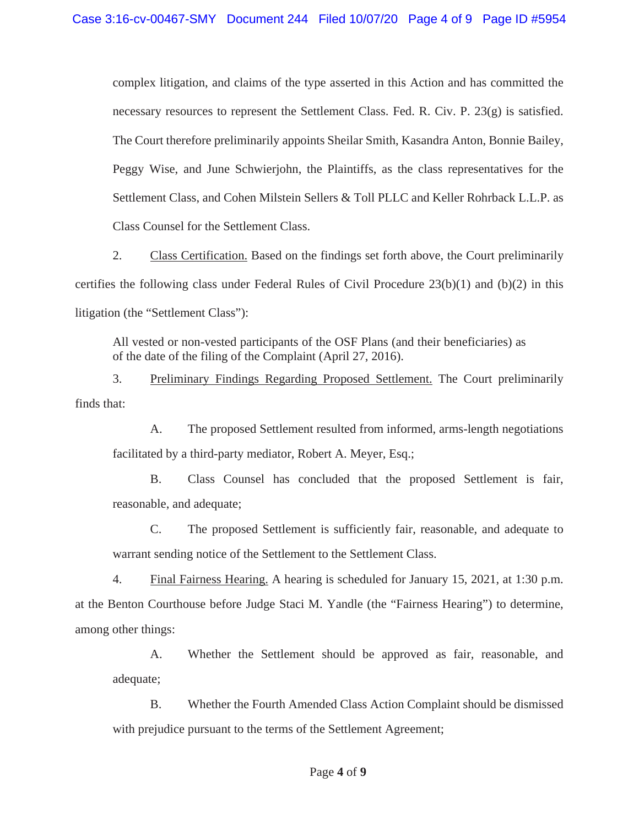complex litigation, and claims of the type asserted in this Action and has committed the necessary resources to represent the Settlement Class. Fed. R. Civ. P. 23(g) is satisfied. The Court therefore preliminarily appoints Sheilar Smith, Kasandra Anton, Bonnie Bailey, Peggy Wise, and June Schwierjohn, the Plaintiffs, as the class representatives for the Settlement Class, and Cohen Milstein Sellers & Toll PLLC and Keller Rohrback L.L.P. as Class Counsel for the Settlement Class.

2. Class Certification. Based on the findings set forth above, the Court preliminarily certifies the following class under Federal Rules of Civil Procedure 23(b)(1) and (b)(2) in this litigation (the "Settlement Class"):

All vested or non-vested participants of the OSF Plans (and their beneficiaries) as of the date of the filing of the Complaint (April 27, 2016).

3. Preliminary Findings Regarding Proposed Settlement. The Court preliminarily finds that:

A. The proposed Settlement resulted from informed, arms-length negotiations facilitated by a third-party mediator, Robert A. Meyer, Esq.;

B. Class Counsel has concluded that the proposed Settlement is fair, reasonable, and adequate;

C. The proposed Settlement is sufficiently fair, reasonable, and adequate to warrant sending notice of the Settlement to the Settlement Class.

4. Final Fairness Hearing. A hearing is scheduled for January 15, 2021, at 1:30 p.m. at the Benton Courthouse before Judge Staci M. Yandle (the "Fairness Hearing") to determine, among other things:

A. Whether the Settlement should be approved as fair, reasonable, and adequate;

B. Whether the Fourth Amended Class Action Complaint should be dismissed with prejudice pursuant to the terms of the Settlement Agreement;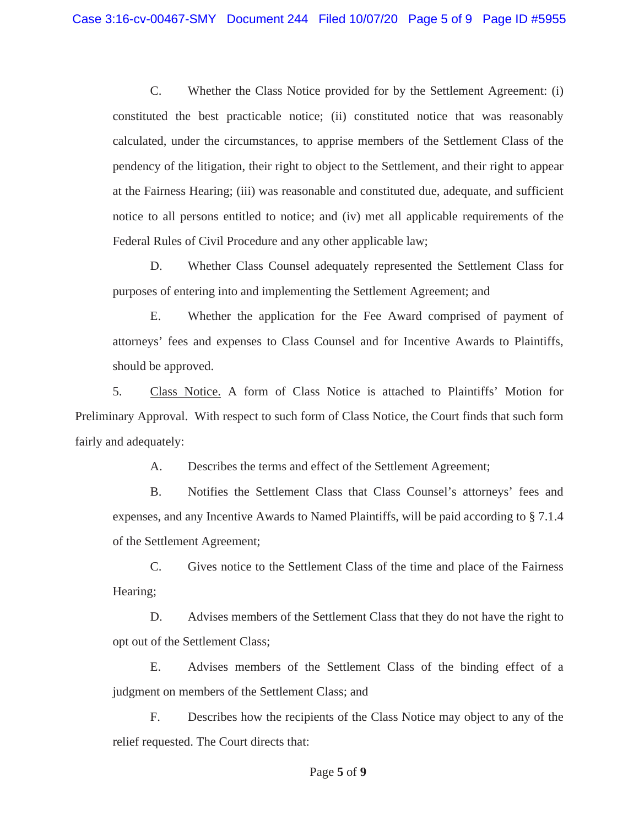C. Whether the Class Notice provided for by the Settlement Agreement: (i) constituted the best practicable notice; (ii) constituted notice that was reasonably calculated, under the circumstances, to apprise members of the Settlement Class of the pendency of the litigation, their right to object to the Settlement, and their right to appear at the Fairness Hearing; (iii) was reasonable and constituted due, adequate, and sufficient notice to all persons entitled to notice; and (iv) met all applicable requirements of the Federal Rules of Civil Procedure and any other applicable law;

D. Whether Class Counsel adequately represented the Settlement Class for purposes of entering into and implementing the Settlement Agreement; and

E. Whether the application for the Fee Award comprised of payment of attorneys' fees and expenses to Class Counsel and for Incentive Awards to Plaintiffs, should be approved.

5. Class Notice. A form of Class Notice is attached to Plaintiffs' Motion for Preliminary Approval. With respect to such form of Class Notice, the Court finds that such form fairly and adequately:

A. Describes the terms and effect of the Settlement Agreement;

B. Notifies the Settlement Class that Class Counsel's attorneys' fees and expenses, and any Incentive Awards to Named Plaintiffs, will be paid according to § 7.1.4 of the Settlement Agreement;

C. Gives notice to the Settlement Class of the time and place of the Fairness Hearing;

D. Advises members of the Settlement Class that they do not have the right to opt out of the Settlement Class;

E. Advises members of the Settlement Class of the binding effect of a judgment on members of the Settlement Class; and

F. Describes how the recipients of the Class Notice may object to any of the relief requested. The Court directs that: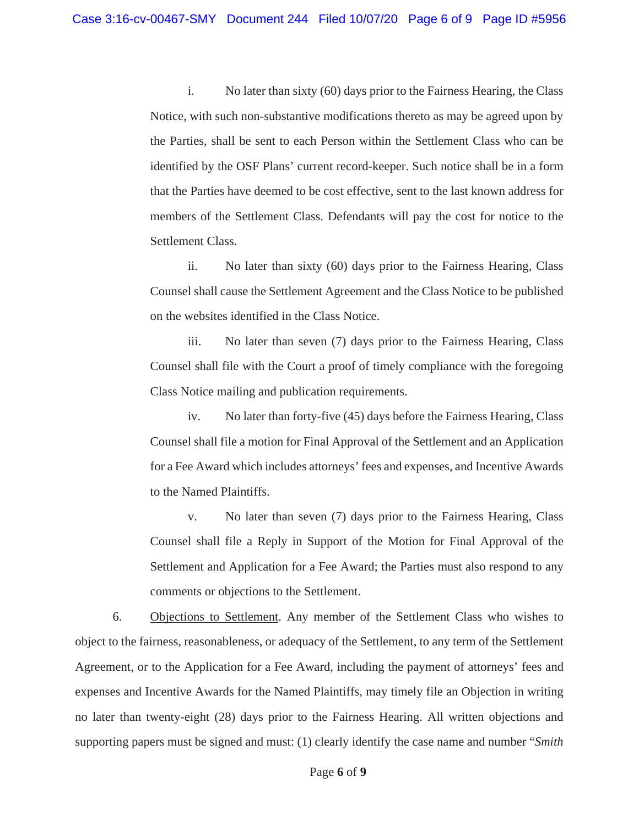i. No later than sixty (60) days prior to the Fairness Hearing, the Class Notice, with such non-substantive modifications thereto as may be agreed upon by the Parties, shall be sent to each Person within the Settlement Class who can be identified by the OSF Plans' current record-keeper. Such notice shall be in a form that the Parties have deemed to be cost effective, sent to the last known address for members of the Settlement Class. Defendants will pay the cost for notice to the Settlement Class.

ii. No later than sixty (60) days prior to the Fairness Hearing, Class Counsel shall cause the Settlement Agreement and the Class Notice to be published on the websites identified in the Class Notice.

iii. No later than seven (7) days prior to the Fairness Hearing, Class Counsel shall file with the Court a proof of timely compliance with the foregoing Class Notice mailing and publication requirements.

iv. No later than forty-five (45) days before the Fairness Hearing, Class Counsel shall file a motion for Final Approval of the Settlement and an Application for a Fee Award which includes attorneys' fees and expenses, and Incentive Awards to the Named Plaintiffs.

v. No later than seven (7) days prior to the Fairness Hearing, Class Counsel shall file a Reply in Support of the Motion for Final Approval of the Settlement and Application for a Fee Award; the Parties must also respond to any comments or objections to the Settlement.

6. Objections to Settlement. Any member of the Settlement Class who wishes to object to the fairness, reasonableness, or adequacy of the Settlement, to any term of the Settlement Agreement, or to the Application for a Fee Award, including the payment of attorneys' fees and expenses and Incentive Awards for the Named Plaintiffs, may timely file an Objection in writing no later than twenty-eight (28) days prior to the Fairness Hearing. All written objections and supporting papers must be signed and must: (1) clearly identify the case name and number "*Smith*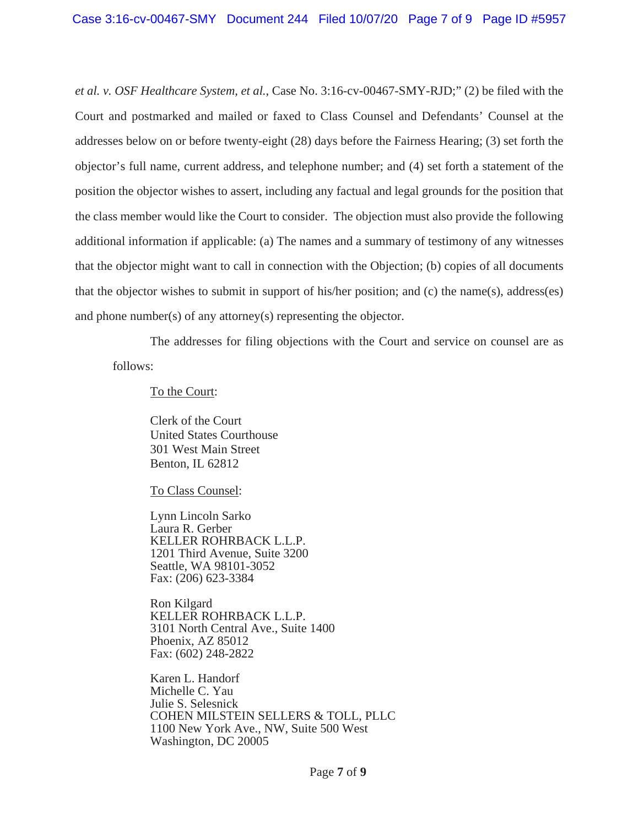*et al. v. OSF Healthcare System, et al.*, Case No. 3:16-cv-00467-SMY-RJD;" (2) be filed with the Court and postmarked and mailed or faxed to Class Counsel and Defendants' Counsel at the addresses below on or before twenty-eight (28) days before the Fairness Hearing; (3) set forth the objector's full name, current address, and telephone number; and (4) set forth a statement of the position the objector wishes to assert, including any factual and legal grounds for the position that the class member would like the Court to consider. The objection must also provide the following additional information if applicable: (a) The names and a summary of testimony of any witnesses that the objector might want to call in connection with the Objection; (b) copies of all documents that the objector wishes to submit in support of his/her position; and (c) the name(s), address(es) and phone number(s) of any attorney(s) representing the objector.

The addresses for filing objections with the Court and service on counsel are as follows:

To the Court:

Clerk of the Court United States Courthouse 301 West Main Street Benton, IL 62812

To Class Counsel:

Lynn Lincoln Sarko Laura R. Gerber KELLER ROHRBACK L.L.P. 1201 Third Avenue, Suite 3200 Seattle, WA 98101-3052 Fax: (206) 623-3384

Ron Kilgard KELLER ROHRBACK L.L.P. 3101 North Central Ave., Suite 1400 Phoenix, AZ 85012 Fax: (602) 248-2822

Karen L. Handorf Michelle C. Yau Julie S. Selesnick COHEN MILSTEIN SELLERS & TOLL, PLLC 1100 New York Ave., NW, Suite 500 West Washington, DC 20005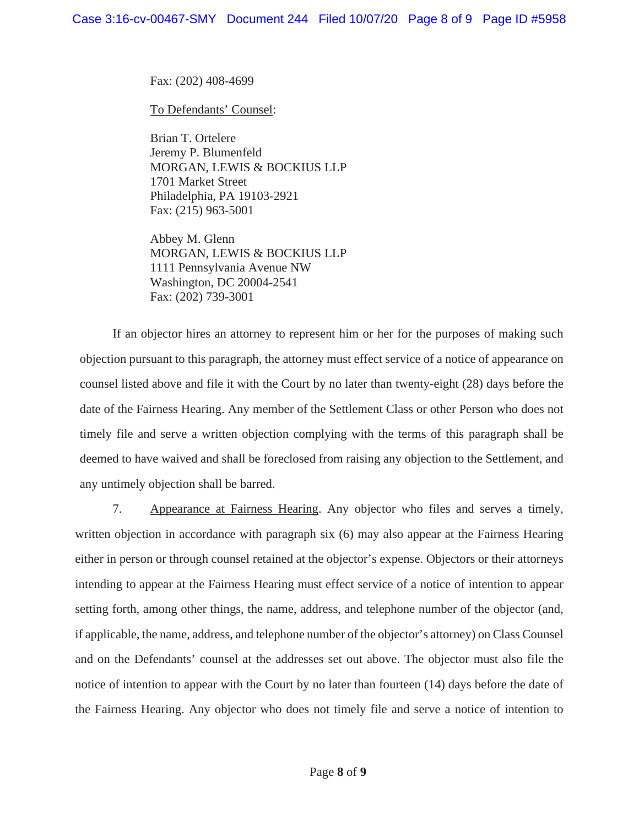Fax: (202) 408-4699

To Defendants' Counsel:

Brian T. Ortelere Jeremy P. Blumenfeld MORGAN, LEWIS & BOCKIUS LLP 1701 Market Street Philadelphia, PA 19103-2921 Fax: (215) 963-5001

Abbey M. Glenn MORGAN, LEWIS & BOCKIUS LLP 1111 Pennsylvania Avenue NW Washington, DC 20004-2541 Fax: (202) 739-3001

 If an objector hires an attorney to represent him or her for the purposes of making such objection pursuant to this paragraph, the attorney must effect service of a notice of appearance on counsel listed above and file it with the Court by no later than twenty-eight (28) days before the date of the Fairness Hearing. Any member of the Settlement Class or other Person who does not timely file and serve a written objection complying with the terms of this paragraph shall be deemed to have waived and shall be foreclosed from raising any objection to the Settlement, and any untimely objection shall be barred.

7. Appearance at Fairness Hearing. Any objector who files and serves a timely, written objection in accordance with paragraph six (6) may also appear at the Fairness Hearing either in person or through counsel retained at the objector's expense. Objectors or their attorneys intending to appear at the Fairness Hearing must effect service of a notice of intention to appear setting forth, among other things, the name, address, and telephone number of the objector (and, if applicable, the name, address, and telephone number of the objector's attorney) on Class Counsel and on the Defendants' counsel at the addresses set out above. The objector must also file the notice of intention to appear with the Court by no later than fourteen (14) days before the date of the Fairness Hearing. Any objector who does not timely file and serve a notice of intention to